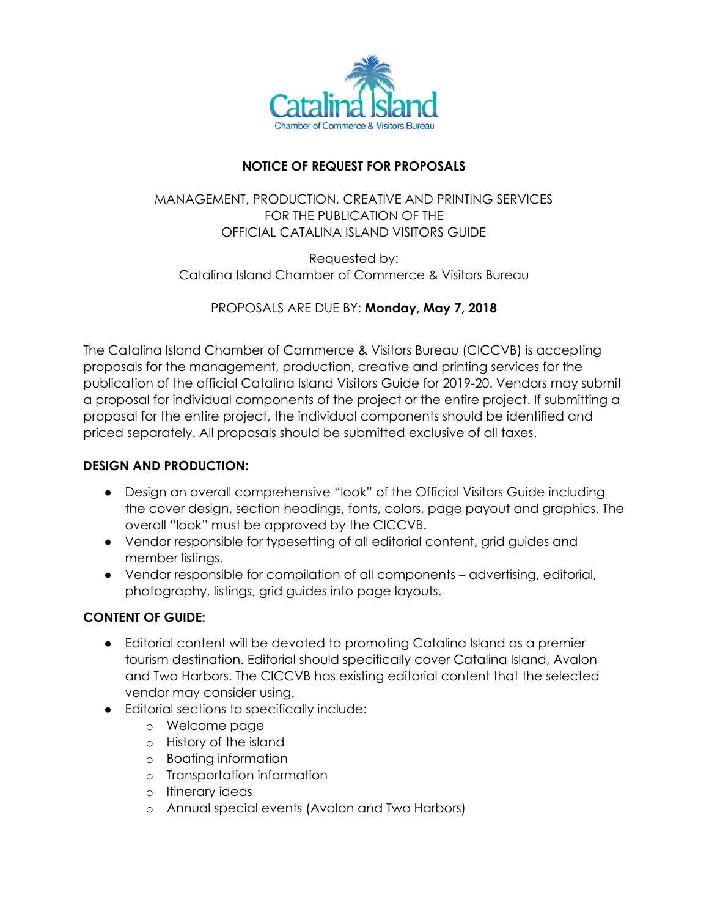

# **NOTICE OF REQUEST FOR PROPOSALS**

## MANAGEMENT, PRODUCTION, CREATIVE AND PRINTING SERVICES FOR THE PUBLICATION OF THE OFFICIAL CATALINA ISLAND VISITORS GUIDE

Requested by: Catalina Island Chamber of Commerce & Visitors Bureau

PROPOSALS ARE DUE BY: **Monday, May 7, 2018**

The Catalina Island Chamber of Commerce & Visitors Bureau (CICCVB) is accepting proposals for the management, production, creative and printing services for the publication of the official Catalina Island Visitors Guide for 2019-20. Vendors may submit a proposal for individual components of the project or the entire project. If submitting a proposal for the entire project, the individual components should be identified and priced separately. All proposals should be submitted exclusive of all taxes.

# **DESIGN AND PRODUCTION:**

- Design an overall comprehensive "look" of the Official Visitors Guide including the cover design, section headings, fonts, colors, page payout and graphics. The overall "look" must be approved by the CICCVB.
- Vendor responsible for typesetting of all editorial content, grid guides and member listings.
- Vendor responsible for compilation of all components advertising, editorial, photography, listings, grid guides into page layouts.

# **CONTENT OF GUIDE:**

- Editorial content will be devoted to promoting Catalina Island as a premier tourism destination. Editorial should specifically cover Catalina Island, Avalon and Two Harbors. The CICCVB has existing editorial content that the selected vendor may consider using.
- Editorial sections to specifically include:
	- o Welcome page
	- o History of the island
	- o Boating information
	- o Transportation information
	- o Itinerary ideas
	- o Annual special events (Avalon and Two Harbors)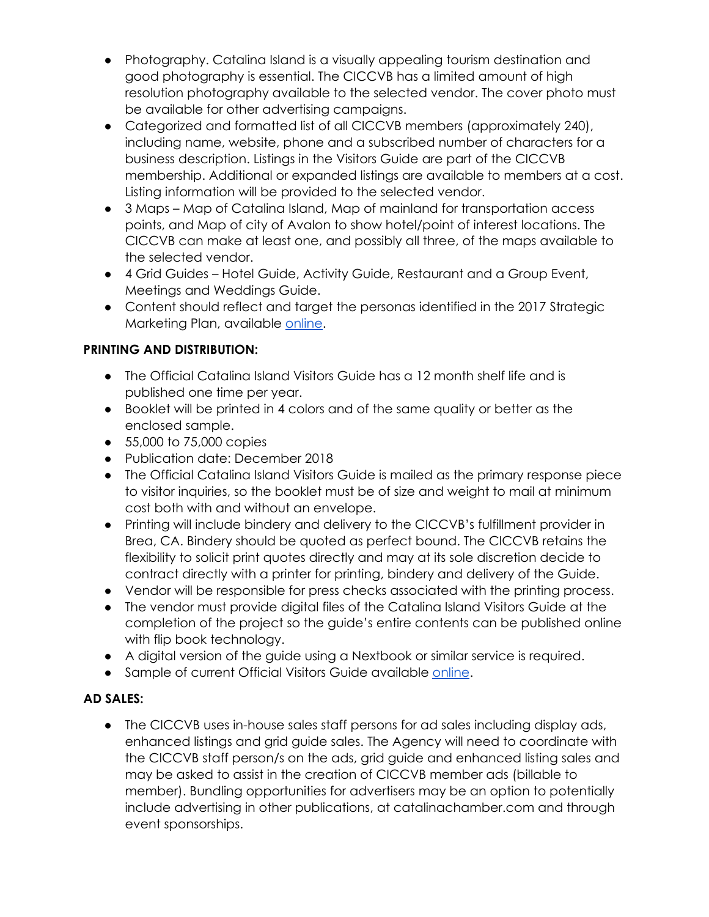- Photography. Catalina Island is a visually appealing tourism destination and good photography is essential. The CICCVB has a limited amount of high resolution photography available to the selected vendor. The cover photo must be available for other advertising campaigns.
- Categorized and formatted list of all CICCVB members (approximately 240), including name, website, phone and a subscribed number of characters for a business description. Listings in the Visitors Guide are part of the CICCVB membership. Additional or expanded listings are available to members at a cost. Listing information will be provided to the selected vendor.
- 3 Maps Map of Catalina Island, Map of mainland for transportation access points, and Map of city of Avalon to show hotel/point of interest locations. The CICCVB can make at least one, and possibly all three, of the maps available to the selected vendor.
- 4 Grid Guides Hotel Guide, Activity Guide, Restaurant and a Group Event, Meetings and Weddings Guide.
- Content should reflect and target the personas identified in the 2017 Strategic Marketing Plan, available [online.](https://www.catalinachamber.com/wp-content/uploads/2016/08/Chamber-Strategic-Marketing-Plan-2017.pdf)

# **PRINTING AND DISTRIBUTION:**

- The Official Catalina Island Visitors Guide has a 12 month shelf life and is published one time per year.
- Booklet will be printed in 4 colors and of the same quality or better as the enclosed sample.
- 55,000 to 75,000 copies
- Publication date: December 2018
- The Official Catalina Island Visitors Guide is mailed as the primary response piece to visitor inquiries, so the booklet must be of size and weight to mail at minimum cost both with and without an envelope.
- Printing will include bindery and delivery to the CICCVB's fulfillment provider in Brea, CA. Bindery should be quoted as perfect bound. The CICCVB retains the flexibility to solicit print quotes directly and may at its sole discretion decide to contract directly with a printer for printing, bindery and delivery of the Guide.
- Vendor will be responsible for press checks associated with the printing process.
- The vendor must provide digital files of the Catalina Island Visitors Guide at the completion of the project so the guide's entire contents can be published online with flip book technology.
- A digital version of the guide using a Nextbook or similar service is required.
- Sample of current Official Visitors Guide available [online.](http://online.publicationprinters.com/html5/reader/production/default.aspx?pubname=&pubid=b35153f9-e0c3-456a-bbfc-0b9f64ba414b)

# **AD SALES:**

● The CICCVB uses in-house sales staff persons for ad sales including display ads, enhanced listings and grid guide sales. The Agency will need to coordinate with the CICCVB staff person/s on the ads, grid guide and enhanced listing sales and may be asked to assist in the creation of CICCVB member ads (billable to member). Bundling opportunities for advertisers may be an option to potentially include advertising in other publications, at catalinachamber.com and through event sponsorships.